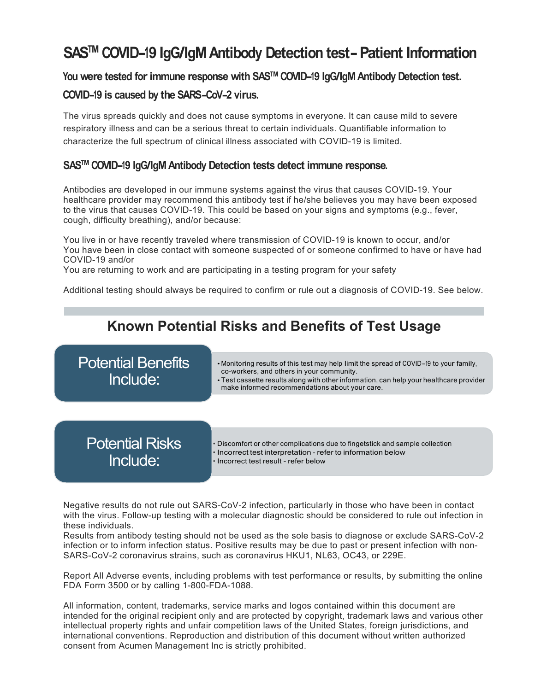# **SASTM COVID-19 IgG/IgM Antibody Detection test-Patient Information**

### **You were tested forimmune response with SASTM COVID-19 IgG/IgMAntibody Detection test.**

### **COVID-19 is caused by the SARS-CoV-2 virus.**

The virus spreads quickly and does not cause symptoms in everyone. It can cause mild to severe respiratory illness and can be a serious threat to certain individuals. Quantifiable information to characterize the full spectrum of clinical illness associated with COVID-19 is limited.

### **SASTM COVID-19 IgG/IgM Antibody Detection tests detect immune response.**

Antibodies are developed in our immune systems against the virus that causes COVID-19. Your healthcare provider may recommend this antibody test if he/she believes you may have been exposed to the virus that causes COVID-19. This could be based on your signs and symptoms (e.g., fever, cough, difficulty breathing), and/or because:

You live in or have recently traveled where transmission of COVID-19 is known to occur, and/or You have been in close contact with someone suspected of or someone confirmed to have or have had COVID-19 and/or

You are returning to work and are participating in a testing program for your safety

Additional testing should always be required to confirm or rule out a diagnosis of COVID-19. See below.



Negative results do not rule out SARS-CoV-2 infection, particularly in those who have been in contact with the virus. Follow-up testing with a molecular diagnostic should be considered to rule out infection in these individuals.

Results from antibody testing should not be used as the sole basis to diagnose or exclude SARS-CoV-2 infection or to inform infection status. Positive results may be due to past or present infection with non-SARS-CoV-2 coronavirus strains, such as coronavirus HKU1, NL63, OC43, or 229E.

Report All Adverse events, including problems with test performance or results, by submitting the online FDA Form 3500 or by calling 1-800-FDA-1088.

All information, content, trademarks, service marks and logos contained within this document are intended for the original recipient only and are protected by copyright, trademark laws and various other intellectual property rights and unfair competition laws of the United States, foreign jurisdictions, and international conventions. Reproduction and distribution of this document without written authorized consent from Acumen Management Inc is strictly prohibited.